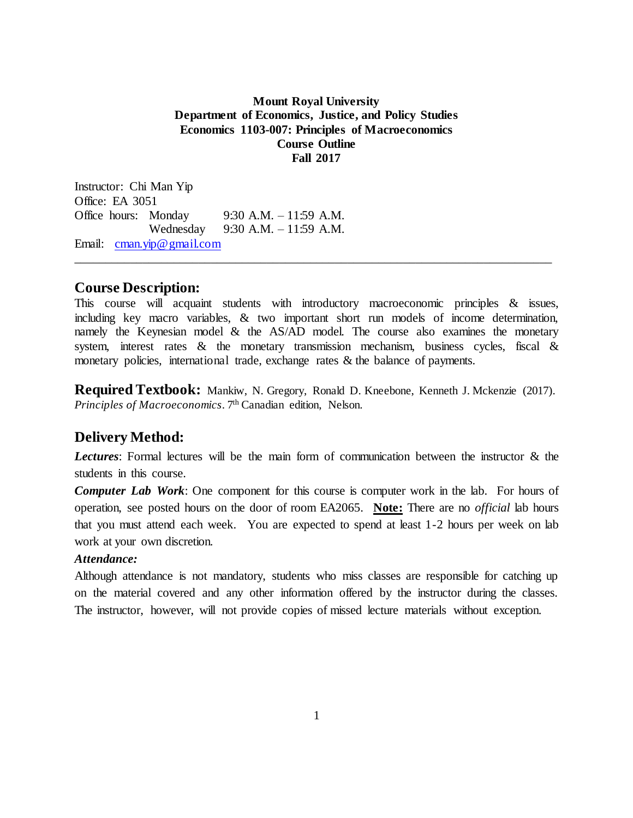#### **Mount Royal University Department of Economics, Justice, and Policy Studies Economics 1103-007: Principles of Macroeconomics Course Outline Fall 2017**

Instructor: Chi Man Yip Office: EA 3051 Office hours: Monday 9:30 A.M. – 11:59 A.M. Wednesday 9:30 A.M. – 11:59 A.M. Email: [cman.yip@gmail.com](mailto:cman.yip@gmail.com)

### **Course Description:**

This course will acquaint students with introductory macroeconomic principles & issues, including key macro variables, & two important short run models of income determination, namely the Keynesian model  $\&$  the AS/AD model. The course also examines the monetary system, interest rates  $\&$  the monetary transmission mechanism, business cycles, fiscal  $\&$ monetary policies, international trade, exchange rates & the balance of payments.

\_\_\_\_\_\_\_\_\_\_\_\_\_\_\_\_\_\_\_\_\_\_\_\_\_\_\_\_\_\_\_\_\_\_\_\_\_\_\_\_\_\_\_\_\_\_\_\_\_\_\_\_\_\_\_\_\_\_\_\_\_\_\_\_\_\_\_\_\_\_\_\_\_\_\_\_\_

**Required Textbook:** Mankiw, N. Gregory, Ronald D. Kneebone, Kenneth J. Mckenzie (2017). *Principles of Macroeconomics*. 7th Canadian edition, Nelson.

## **Delivery Method:**

*Lectures*: Formal lectures will be the main form of communication between the instructor & the students in this course.

*Computer Lab Work*: One component for this course is computer work in the lab. For hours of operation, see posted hours on the door of room EA2065. **Note:** There are no *official* lab hours that you must attend each week. You are expected to spend at least 1-2 hours per week on lab work at your own discretion.

#### *Attendance:*

Although attendance is not mandatory, students who miss classes are responsible for catching up on the material covered and any other information offered by the instructor during the classes. The instructor, however, will not provide copies of missed lecture materials without exception.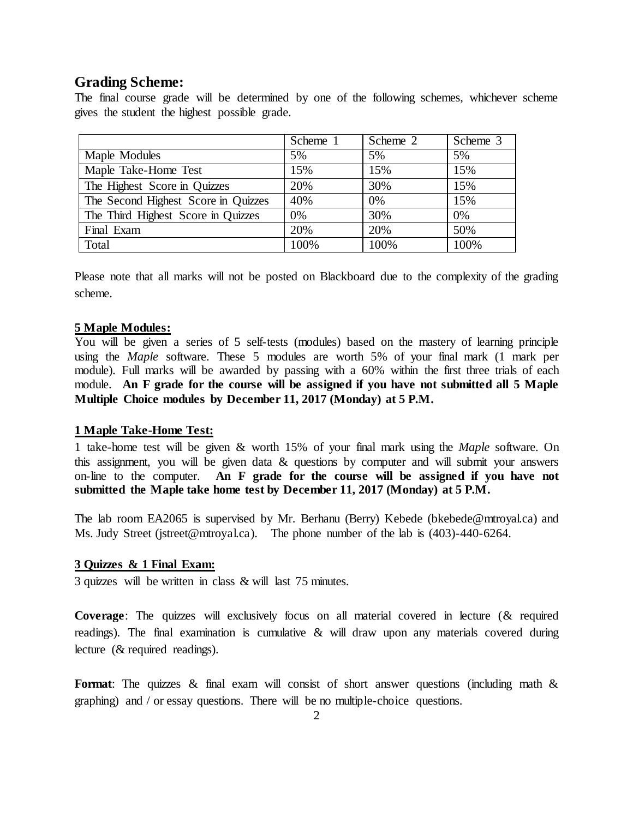## **Grading Scheme:**

The final course grade will be determined by one of the following schemes, whichever scheme gives the student the highest possible grade.

|                                     | Scheme 1 | Scheme 2 | Scheme 3 |
|-------------------------------------|----------|----------|----------|
| Maple Modules                       | 5%       | 5%       | 5%       |
| Maple Take-Home Test                | 15%      | 15%      | 15%      |
| The Highest Score in Quizzes        | 20%      | 30%      | 15%      |
| The Second Highest Score in Quizzes | 40%      | 0%       | 15%      |
| The Third Highest Score in Quizzes  | 0%       | 30%      | 0%       |
| Final Exam                          | 20%      | 20%      | 50%      |
| Total                               | 100%     | 100%     | 100%     |

Please note that all marks will not be posted on Blackboard due to the complexity of the grading scheme.

#### **5 Maple Modules:**

You will be given a series of 5 self-tests (modules) based on the mastery of learning principle using the *Maple* software. These 5 modules are worth 5% of your final mark (1 mark per module). Full marks will be awarded by passing with a 60% within the first three trials of each module. **An F grade for the course will be assigned if you have not submitted all 5 Maple Multiple Choice modules by December 11, 2017 (Monday) at 5 P.M.**

#### **1 Maple Take-Home Test:**

1 take-home test will be given & worth 15% of your final mark using the *Maple* software. On this assignment, you will be given data & questions by computer and will submit your answers on-line to the computer. **An F grade for the course will be assigned if you have not submitted the Maple take home test by December 11, 2017 (Monday) at 5 P.M.**

The lab room EA2065 is supervised by Mr. Berhanu (Berry) Kebede [\(bkebede@mtroyal.ca\)](mailto:bkebede@mtroyal.ca) and Ms. Judy Street (jstreet@mtroyal.ca). The phone number of the lab is (403)-440-6264.

#### **3 Quizzes & 1 Final Exam:**

3 quizzes will be written in class & will last 75 minutes.

**Coverage**: The quizzes will exclusively focus on all material covered in lecture (& required readings). The final examination is cumulative & will draw upon any materials covered during lecture (& required readings).

**Format**: The quizzes & final exam will consist of short answer questions (including math & graphing) and / or essay questions. There will be no multiple-choice questions.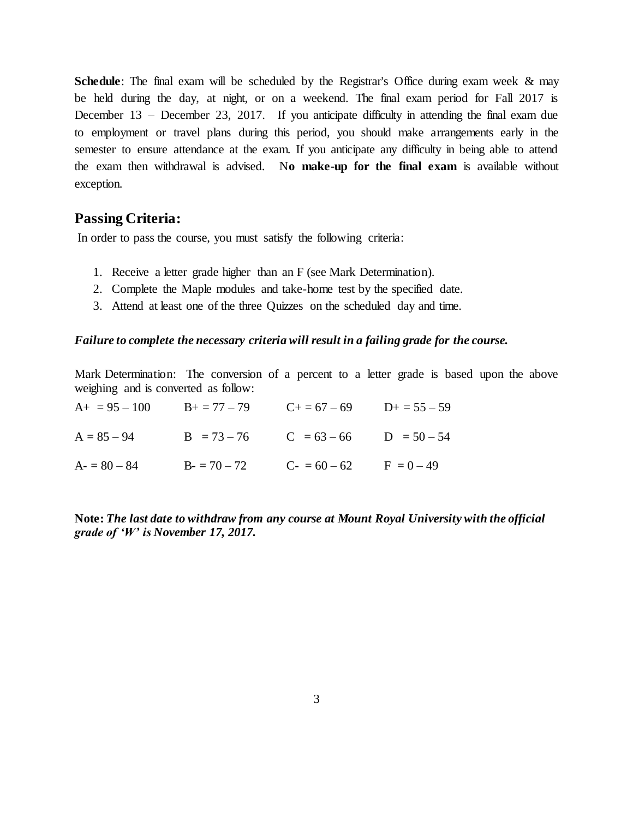**Schedule**: The final exam will be scheduled by the Registrar's Office during exam week & may be held during the day, at night, or on a weekend. The final exam period for Fall 2017 is December 13 – December 23, 2017. If you anticipate difficulty in attending the final exam due to employment or travel plans during this period, you should make arrangements early in the semester to ensure attendance at the exam. If you anticipate any difficulty in being able to attend the exam then withdrawal is advised. N**o make-up for the final exam** is available without exception.

#### **Passing Criteria:**

In order to pass the course, you must satisfy the following criteria:

- 1. Receive a letter grade higher than an F (see Mark Determination).
- 2. Complete the Maple modules and take-home test by the specified date.
- 3. Attend at least one of the three Quizzes on the scheduled day and time.

#### *Failure to complete the necessary criteria will result in a failing grade for the course.*

Mark Determination: The conversion of a percent to a letter grade is based upon the above weighing and is converted as follow:

| $A_+ = 95 - 100$ $B_+ = 77 - 79$ $C_+ = 67 - 69$ $D_+ = 55 - 59$ |  |
|------------------------------------------------------------------|--|
| $A = 85 - 94$ B = 73 - 76 C = 63 - 66 D = 50 - 54                |  |
| $A = 80 - 84$ $B = 70 - 72$ $C = 60 - 62$ $F = 0 - 49$           |  |

**Note:** *The last date to withdraw from any course at Mount Royal University with the official grade of 'W' is November 17, 2017.*